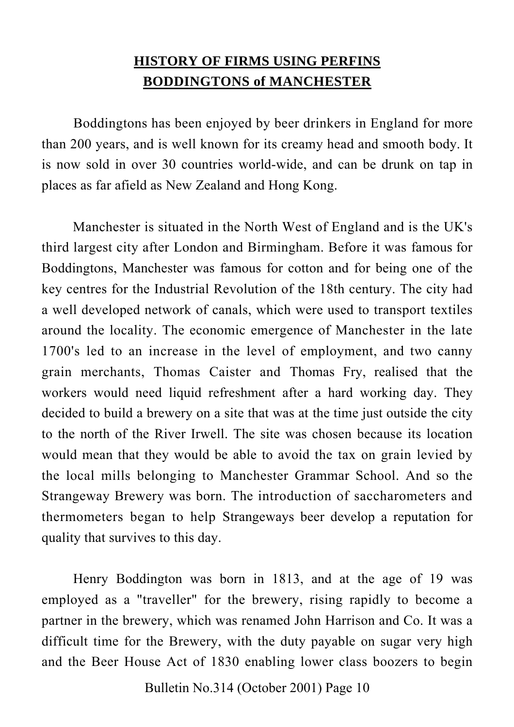## **HISTORY OF FIRMS USING PERFINS BODDINGTONS of MANCHESTER**

Boddingtons has been enjoyed by beer drinkers in England for more than 200 years, and is well known for its creamy head and smooth body. It is now sold in over 30 countries world-wide, and can be drunk on tap in places as far afield as New Zealand and Hong Kong.

Manchester is situated in the North West of England and is the UK's third largest city after London and Birmingham. Before it was famous for Boddingtons, Manchester was famous for cotton and for being one of the key centres for the Industrial Revolution of the 18th century. The city had a well developed network of canals, which were used to transport textiles around the locality. The economic emergence of Manchester in the late 1700's led to an increase in the level of employment, and two canny grain merchants, Thomas Caister and Thomas Fry, realised that the workers would need liquid refreshment after a hard working day. They decided to build a brewery on a site that was at the time just outside the city to the north of the River Irwell. The site was chosen because its location would mean that they would be able to avoid the tax on grain levied by the local mills belonging to Manchester Grammar School. And so the Strangeway Brewery was born. The introduction of saccharometers and thermometers began to help Strangeways beer develop a reputation for quality that survives to this day.

Henry Boddington was born in 1813, and at the age of 19 was employed as a "traveller" for the brewery, rising rapidly to become a partner in the brewery, which was renamed John Harrison and Co. It was a difficult time for the Brewery, with the duty payable on sugar very high and the Beer House Act of 1830 enabling lower class boozers to begin

Bulletin No.314 (October 2001) Page 10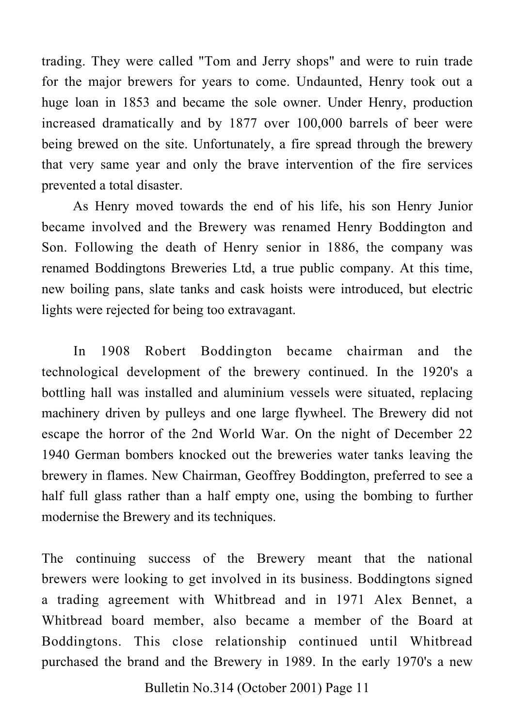trading. They were called "Tom and Jerry shops" and were to ruin trade for the major brewers for years to come. Undaunted, Henry took out a huge loan in 1853 and became the sole owner. Under Henry, production increased dramatically and by 1877 over 100,000 barrels of beer were being brewed on the site. Unfortunately, a fire spread through the brewery that very same year and only the brave intervention of the fire services prevented a total disaster.

As Henry moved towards the end of his life, his son Henry Junior became involved and the Brewery was renamed Henry Boddington and Son. Following the death of Henry senior in 1886, the company was renamed Boddingtons Breweries Ltd, a true public company. At this time, new boiling pans, slate tanks and cask hoists were introduced, but electric lights were rejected for being too extravagant.

In 1908 Robert Boddington became chairman and the technological development of the brewery continued. In the 1920's a bottling hall was installed and aluminium vessels were situated, replacing machinery driven by pulleys and one large flywheel. The Brewery did not escape the horror of the 2nd World War. On the night of December 22 1940 German bombers knocked out the breweries water tanks leaving the brewery in flames. New Chairman, Geoffrey Boddington, preferred to see a half full glass rather than a half empty one, using the bombing to further modernise the Brewery and its techniques.

The continuing success of the Brewery meant that the national brewers were looking to get involved in its business. Boddingtons signed a trading agreement with Whitbread and in 1971 Alex Bennet, a Whitbread board member, also became a member of the Board at Boddingtons. This close relationship continued until Whitbread purchased the brand and the Brewery in 1989. In the early 1970's a new

Bulletin No.314 (October 2001) Page 11